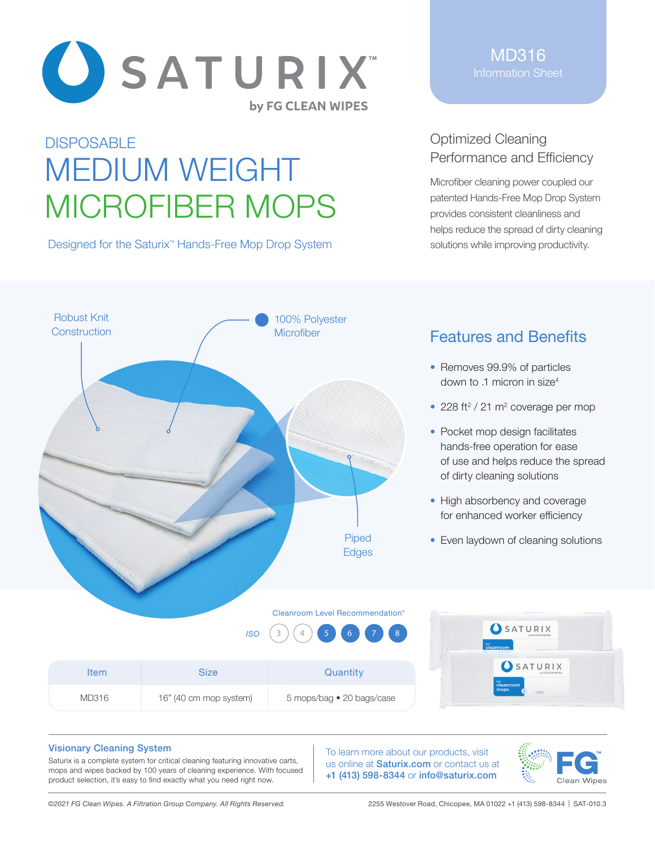

# **DISPOSABLE** MEDIUM WEIGHT MICROFIBER MOPS

Designed for the Saturix<sup>™</sup> Hands-Free Mop Drop System

MD316 Information Sheet

## Optimized Cleaning Performance and Efficiency

Microfiber cleaning power coupled our patented Hands-Free Mop Drop System provides consistent cleanliness and helps reduce the spread of dirty cleaning solutions while improving productivity.



## Features and Benefits

- Removes 99.9% of particles down to .1 micron in size<sup>4</sup>
- $\cdot$  228 ft<sup>2</sup> / 21 m<sup>2</sup> coverage per mop
- Pocket mop design facilitates hands-free operation for ease of use and helps reduce the spread of dirty cleaning solutions
- High absorbency and coverage for enhanced worker efficiency
- Even laydown of cleaning solutions

#### Cleanroom Level Recommendation\*

|             | <b>ISO</b>             | $(3)(4)$ 5 6 7 8          | SATURIX<br>cleanroom                  |
|-------------|------------------------|---------------------------|---------------------------------------|
| <b>Item</b> | <b>Size</b>            | Quantity                  | SATURI                                |
| D316        | 16" (40 cm mop system) | 5 mops/bag • 20 bags/case | cleanroom<br>mops<br><b>CUPS DESP</b> |

#### Visionary Cleaning System

MD316

Saturix is a complete system for critical cleaning featuring innovative carts, mops and wipes backed by 100 years of cleaning experience. With focused product selection, it's easy to find exactly what you need right now.

To learn more about our products, visit us online at Saturix.com or contact us at +1 (413) 598-8344 or info@saturix.com



X

*©2021 FG Clean Wipes. A Filtration Group Company. All Rights Reserved.*